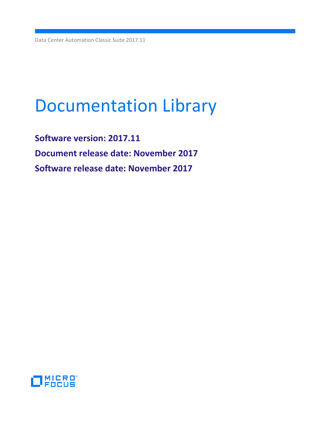Data Center Automation Classic Suite 2017.11

# Documentation Library

**Software version: 2017.11 Document release date: November 2017 Software release date: November 2017**

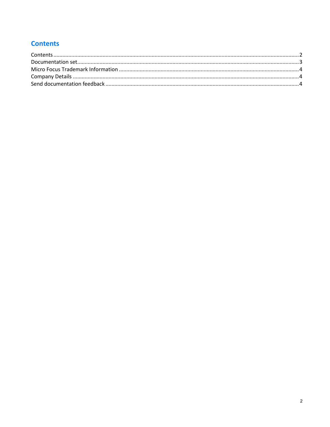# <span id="page-1-0"></span>**Contents**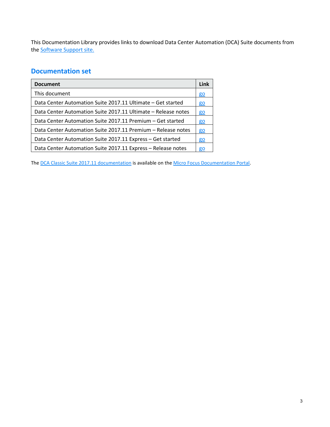This Documentation Library provides links to download Data Center Automation (DCA) Suite documents from the **Software Support site.** 

# <span id="page-2-0"></span>**Documentation set**

| <b>Document</b>                                               | Link      |
|---------------------------------------------------------------|-----------|
| This document                                                 | <u>go</u> |
| Data Center Automation Suite 2017.11 Ultimate – Get started   | <u>go</u> |
| Data Center Automation Suite 2017.11 Ultimate - Release notes | <b>go</b> |
| Data Center Automation Suite 2017.11 Premium – Get started    | <u>go</u> |
| Data Center Automation Suite 2017.11 Premium - Release notes  | <u>go</u> |
| Data Center Automation Suite 2017.11 Express - Get started    | <u>go</u> |
| Data Center Automation Suite 2017.11 Express - Release notes  | <u>go</u> |

The [DCA Classic Suite 2017.11 documentation](https://docs.software.hpe.com/DCA/2017.11/Content/Home.htm) is available on the Micro Focus [Documentation Portal.](http://docs.software.hpe.com/)